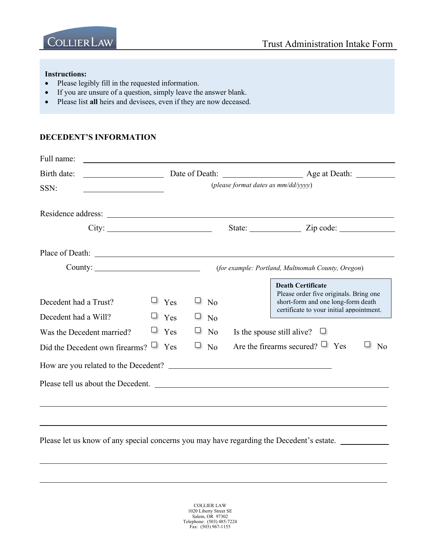

#### **Instructions:**

- Please legibly fill in the requested information.
- If you are unsure of a question, simply leave the answer blank.
- Please list **all** heirs and devisees, even if they are now deceased.

#### **DECEDENT'S INFORMATION**

| Full name:                                                                 |   |                          |   |                                        |               |                                                                                                                                                                                           |
|----------------------------------------------------------------------------|---|--------------------------|---|----------------------------------------|---------------|-------------------------------------------------------------------------------------------------------------------------------------------------------------------------------------------|
| Birth date:                                                                |   | Date of Death:           |   |                                        | Age at Death: |                                                                                                                                                                                           |
| SSN:                                                                       |   |                          |   | (please format dates as mm/dd/yyyy)    |               |                                                                                                                                                                                           |
| Residence address:                                                         |   |                          |   |                                        |               |                                                                                                                                                                                           |
| City:                                                                      |   |                          |   |                                        |               | State: <u>Zip</u> code:                                                                                                                                                                   |
| Place of Death: New York Channels and The Place of Death:                  |   |                          |   |                                        |               |                                                                                                                                                                                           |
| Country:                                                                   |   |                          |   |                                        |               | (for example: Portland, Multnomah County, Oregon)                                                                                                                                         |
| Decedent had a Trust?<br>Decedent had a Will?<br>Was the Decedent married? | ⊔ | Yes<br>Yes<br>$\Box$ Yes |   | N <sub>o</sub><br>N <sub>o</sub><br>No |               | <b>Death Certificate</b><br>Please order five originals. Bring one<br>short-form and one long-form death<br>certificate to your initial appointment.<br>Is the spouse still alive? $\Box$ |
| Did the Decedent own firearms?                                             |   | $\Box$ Yes               | ⊔ | N <sub>o</sub>                         |               | Are the firearms secured? $\Box$ Yes<br>$\overline{N}$                                                                                                                                    |
|                                                                            |   |                          |   |                                        |               |                                                                                                                                                                                           |
| Please tell us about the Decedent.                                         |   |                          |   |                                        |               |                                                                                                                                                                                           |
|                                                                            |   |                          |   |                                        |               |                                                                                                                                                                                           |

Please let us know of any special concerns you may have regarding the Decedent's estate.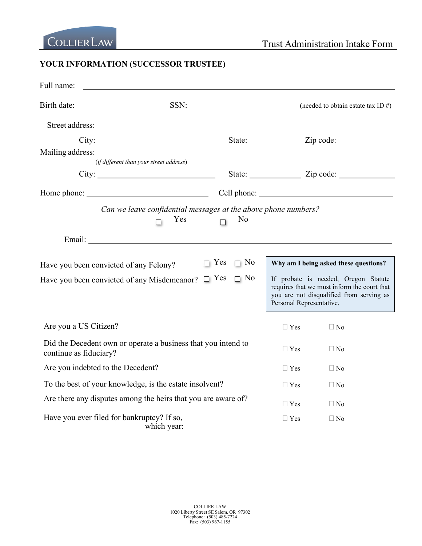# **YOUR INFORMATION (SUCCESSOR TRUSTEE)**

| Full name:                                                                              |                                                                       |                                                    |                          |                                                                                                                                                                          |
|-----------------------------------------------------------------------------------------|-----------------------------------------------------------------------|----------------------------------------------------|--------------------------|--------------------------------------------------------------------------------------------------------------------------------------------------------------------------|
| Birth date:                                                                             |                                                                       |                                                    |                          | $SSN:$ (needed to obtain estate tax ID #)                                                                                                                                |
|                                                                                         |                                                                       |                                                    |                          |                                                                                                                                                                          |
|                                                                                         | City:                                                                 |                                                    |                          |                                                                                                                                                                          |
|                                                                                         |                                                                       |                                                    |                          |                                                                                                                                                                          |
|                                                                                         | (if different than your street address)                               |                                                    |                          |                                                                                                                                                                          |
|                                                                                         | City:                                                                 |                                                    |                          |                                                                                                                                                                          |
| Home phone: Cell phone: Cell phone:                                                     |                                                                       |                                                    |                          |                                                                                                                                                                          |
|                                                                                         | Can we leave confidential messages at the above phone numbers?<br>Yes | N <sub>0</sub>                                     |                          |                                                                                                                                                                          |
|                                                                                         |                                                                       |                                                    |                          |                                                                                                                                                                          |
| Have you been convicted of any Felony?<br>Have you been convicted of any Misdemeanor?   |                                                                       | $\Box$ Yes<br>$\Box$ No<br>$\Box$ Yes<br>$\Box$ No | Personal Representative. | Why am I being asked these questions?<br>If probate is needed, Oregon Statute<br>requires that we must inform the court that<br>you are not disqualified from serving as |
| Are you a US Citizen?                                                                   |                                                                       |                                                    | $\Box$ Yes               | $\Box$ No                                                                                                                                                                |
| Did the Decedent own or operate a business that you intend to<br>continue as fiduciary? |                                                                       |                                                    | $\Box$ Yes               | $\Box$ No                                                                                                                                                                |
| Are you indebted to the Decedent?                                                       |                                                                       |                                                    | $\Box$ Yes               | $\Box$ No                                                                                                                                                                |
| To the best of your knowledge, is the estate insolvent?                                 |                                                                       |                                                    | $\sqcup$ Yes             | $\Box$ No                                                                                                                                                                |
| Are there any disputes among the heirs that you are aware of?                           |                                                                       |                                                    | $\sqcup$ Yes             | $\Box$ No                                                                                                                                                                |
| Have you ever filed for bankruptcy? If so,                                              | which year:                                                           |                                                    | $\Box$ Yes               | $\Box$ No                                                                                                                                                                |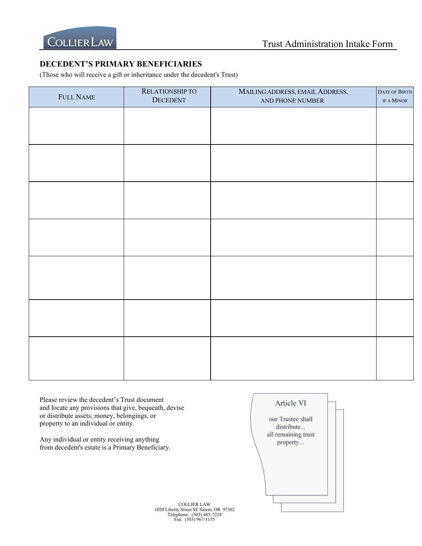

## **DECEDENT'S PRIMARY BENEFICIARIES**

(Those who will receive a gift or inheritance under the decedent's Trust)

| FULL NAME | RELATIONSHIP TO<br>DECEDENT | MAILING ADDRESS, EMAIL ADDRESS,<br>AND PHONE NUMBER | DATE OF BIRTH<br>IF A MINOR |
|-----------|-----------------------------|-----------------------------------------------------|-----------------------------|
|           |                             |                                                     |                             |
|           |                             |                                                     |                             |
|           |                             |                                                     |                             |
|           |                             |                                                     |                             |
|           |                             |                                                     |                             |
|           |                             |                                                     |                             |
|           |                             |                                                     |                             |
|           |                             |                                                     |                             |
|           |                             |                                                     |                             |
|           |                             |                                                     |                             |
|           |                             |                                                     |                             |
|           |                             |                                                     |                             |
|           |                             |                                                     |                             |
|           |                             |                                                     |                             |
|           |                             |                                                     |                             |

Please review the decedent's Trust document Article VI and locate any provisions that give, bequeath, devise or distribute assets, money, belongings, or our Trustee shall property to an individual or entity. distribute... all remaining trust Any individual or entity receiving anything property... from decedent's estate is a Primary Beneficiary.COLLIER LAW

1020 Liberty Street SE Salem, OR 97302 Telephone: (503) 485-7224 Fax: (503) 967-1155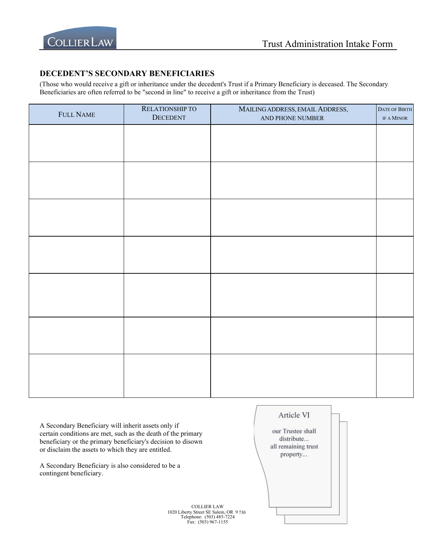

#### **DECEDENT'S SECONDARY BENEFICIARIES**

(Those who would receive a gift or inheritance under the decedent's Trust if a Primary Beneficiary is deceased. The Secondary Beneficiaries are often referred to be "second in line" to receive a gift or inheritance from the Trust)

| FULL NAME | RELATIONSHIP TO<br><b>DECEDENT</b> | MAILING ADDRESS, EMAIL ADDRESS,<br>AND PHONE NUMBER | DATE OF BIRTH<br>IF A MINOR |
|-----------|------------------------------------|-----------------------------------------------------|-----------------------------|
|           |                                    |                                                     |                             |
|           |                                    |                                                     |                             |
|           |                                    |                                                     |                             |
|           |                                    |                                                     |                             |
|           |                                    |                                                     |                             |
|           |                                    |                                                     |                             |
|           |                                    |                                                     |                             |
|           |                                    |                                                     |                             |
|           |                                    |                                                     |                             |
|           |                                    |                                                     |                             |
|           |                                    |                                                     |                             |
|           |                                    |                                                     |                             |
|           |                                    |                                                     |                             |
|           |                                    |                                                     |                             |

A Secondary Beneficiary will inherit assets only if certain conditions are met, such as the death of the primary beneficiary or the primary beneficiary's decision to disown or disclaim the assets to which they are entitled.

A Secondary Beneficiary is also considered to be a contingent beneficiary.



COLLIER LAW 1020 Liberty Street SE Salem, OR 9 730 Telephone: (503) 485-7224 Fax: (503) 967-1155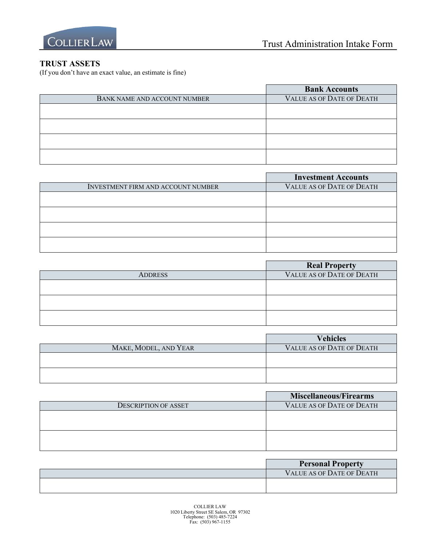

## **TRUST ASSETS**

(If you don't have an exact value, an estimate is fine)

| <b>Bank Accounts</b>             |
|----------------------------------|
| <b>VALUE AS OF DATE OF DEATH</b> |
|                                  |
|                                  |
|                                  |
|                                  |
|                                  |
|                                  |
|                                  |
|                                  |

|                                           | <b>Investment Accounts</b>       |
|-------------------------------------------|----------------------------------|
| <b>INVESTMENT FIRM AND ACCOUNT NUMBER</b> | <b>VALUE AS OF DATE OF DEATH</b> |
|                                           |                                  |
|                                           |                                  |
|                                           |                                  |
|                                           |                                  |
|                                           |                                  |
|                                           |                                  |

|                | <b>Real Property</b>      |
|----------------|---------------------------|
| <b>ADDRESS</b> | VALUE AS OF DATE OF DEATH |
|                |                           |
|                |                           |
|                |                           |
|                |                           |
|                |                           |

|                       | <b>Vehicles</b>                  |
|-----------------------|----------------------------------|
| MAKE, MODEL, AND YEAR | <b>VALUE AS OF DATE OF DEATH</b> |
|                       |                                  |
|                       |                                  |
|                       |                                  |
|                       |                                  |

|                      | Miscellaneous/Firearms    |
|----------------------|---------------------------|
| DESCRIPTION OF ASSET | VALUE AS OF DATE OF DEATH |
|                      |                           |
|                      |                           |
|                      |                           |
|                      |                           |

| <b>Personal Property</b>         |
|----------------------------------|
| <b>VALUE AS OF DATE OF DEATH</b> |
|                                  |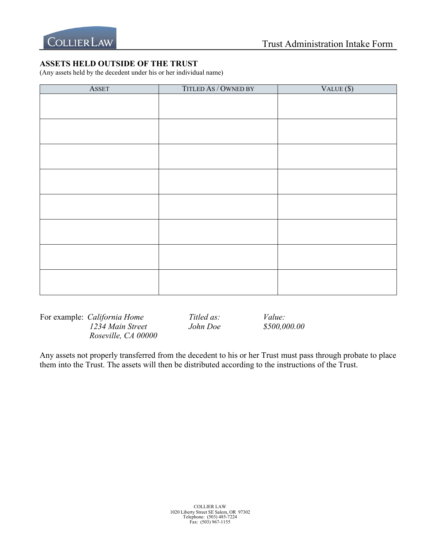# **ASSETS HELD OUTSIDE OF THE TRUST**

(Any assets held by the decedent under his or her individual name)

| <b>ASSET</b> | TITLED AS / OWNED BY | VALUE(S) |
|--------------|----------------------|----------|
|              |                      |          |
|              |                      |          |
|              |                      |          |
|              |                      |          |
|              |                      |          |
|              |                      |          |
|              |                      |          |
|              |                      |          |
|              |                      |          |
|              |                      |          |
|              |                      |          |
|              |                      |          |
|              |                      |          |
|              |                      |          |
|              |                      |          |
|              |                      |          |
|              |                      |          |
|              |                      |          |
|              |                      |          |
|              |                      |          |
|              |                      |          |

For example: *California Home Titled as: Value: 1234 Main Street John Doe \$500,000.00 Roseville, CA 00000*

Any assets not properly transferred from the decedent to his or her Trust must pass through probate to place them into the Trust. The assets will then be distributed according to the instructions of the Trust.